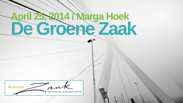# **De Groene Zaak April 25, 2014 / Marga Hoek**

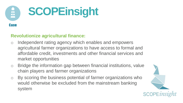

#### **Revolutionize agricultural finance:**

- o Independent rating agency which enables and empowers agricultural farmer organizations to have access to formal and affordable credit, investments and other financial services and market opportunities
- o Bridge the information gap between financial institutions, value chain players and farmer organizations
- o By scoring the business potential of farmer organizations who would otherwise be excluded from the mainstream banking system

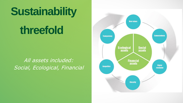## **Sustainability**

## **threefold**

#### All assets included: Social, Ecological, Financial

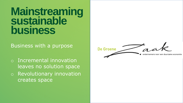### **Mainstreaming sustainable business**

Business with a purpose

o Incremental innovation leaves no solution space o Revolutionary innovation creates space

De Groene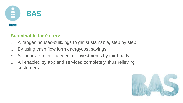

#### **Sustainable for 0 euro:**

- o Arranges houses-buildings to get sustainable, step by step
- o By using cash flow form energycost savings
- o So no investment needed, or investments by third party
- o All enabled by app and serviced completely, thus relieving customers

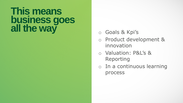### **This means business goes all the way** o Goals & Kpi's

- 
- o Product development & innovation
- o Valuation: P&L's & Reporting
- o In a continuous learning process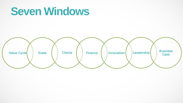### **Seven Windows**